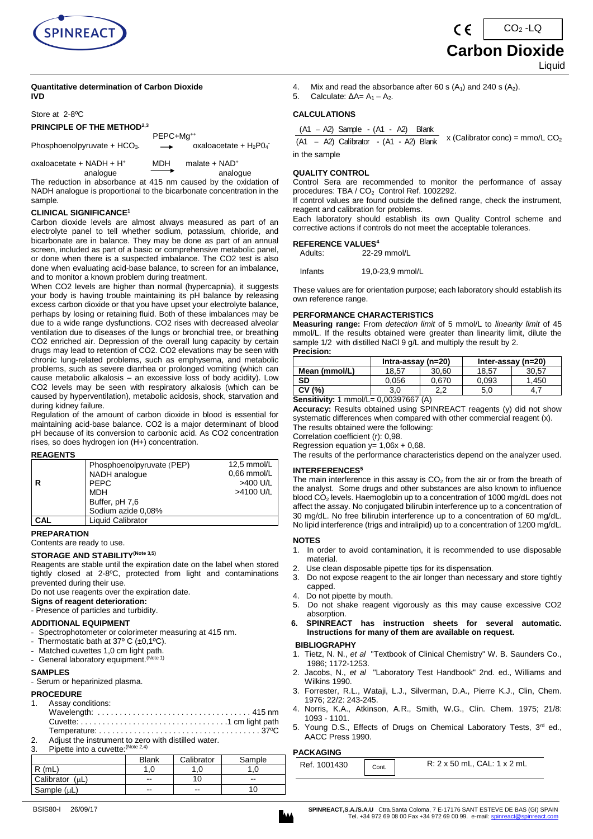

#### **Quantitative determination of Carbon Dioxide IVD**

Store at 2-8ºC

#### **PRINCIPLE OF THE METHOD2,3**

|                                | PEPC+Ma <sup>++</sup>    |                          |
|--------------------------------|--------------------------|--------------------------|
| Phosphoenolpyruvate + $HCO3$ . | $\overline{\phantom{0}}$ | oxaloacetate + $H_2P0_4$ |
|                                |                          |                          |

oxaloacetate + NADH + H<sup>+</sup>  $\begin{array}{ccc} \text{MDH} & \text{malate} + \text{NAD}^+ \\ \hline \end{array}$ analogue analogue **analogue** analogue

The reduction in absorbance at 415 nm caused by the oxidation of NADH analogue is proportional to the bicarbonate concentration in the sample.

#### **CLINICAL SIGNIFICANCE 1**

Carbon dioxide levels are almost always measured as part of an electrolyte panel to tell whether sodium, potassium, chloride, and bicarbonate are in balance. They may be done as part of an annual screen, included as part of a basic or comprehensive metabolic panel, or done when there is a suspected imbalance. The CO2 test is also done when evaluating acid-base balance, to screen for an imbalance, and to monitor a known problem during treatment.

When CO2 levels are higher than normal (hypercapnia), it suggests your body is having trouble maintaining its pH balance by releasing excess carbon dioxide or that you have upset your electrolyte balance, perhaps by losing or retaining fluid. Both of these imbalances may be due to a wide range dysfunctions. CO2 rises with decreased alveolar ventilation due to diseases of the lungs or bronchial tree, or breathing CO2 enriched air. Depression of the overall lung capacity by certain drugs may lead to retention of CO2. CO2 elevations may be seen with chronic lung-related problems, such as emphysema, and metabolic problems, such as severe diarrhea or prolonged vomiting (which can cause metabolic alkalosis – an excessive loss of body acidity). Low CO2 levels may be seen with respiratory alkalosis (which can be caused by hyperventilation), metabolic acidosis, shock, starvation and during kidney failure.

Regulation of the amount of carbon dioxide in blood is essential for maintaining acid-base balance. CO2 is a major determinant of blood pH because of its conversion to carbonic acid. As CO2 concentration rises, so does hydrogen ion (H+) concentration.

#### **REAGENTS**

|     | Phosphoenolpyruvate (PEP) | 12,5 mmol/L   |
|-----|---------------------------|---------------|
|     | NADH analoque             | $0.66$ mmol/L |
| R   | <b>PEPC</b>               | >400 U/L      |
|     | <b>MDH</b>                | >4100 U/L     |
|     | Buffer, pH 7,6            |               |
|     | Sodium azide 0,08%        |               |
| CAL | <b>Liquid Calibrator</b>  |               |

**PREPARATION** 

#### Contents are ready to use.

### **STORAGE AND STABILITY(Note 3,5)**

Reagents are stable until the expiration date on the label when stored tightly closed at 2-8ºC, protected from light and contaminations prevented during their use.

Do not use reagents over the expiration date.

**Signs of reagent deterioration:**

- Presence of particles and turbidity.

#### **ADDITIONAL EQUIPMENT**

- Spectrophotometer or colorimeter measuring at 415 nm.<br>- Thermostatic bath at 37º C (+0.1ºC)
- Thermostatic bath at  $37^{\circ}$  C (±0,1 $^{\circ}$ C).
- Matched cuvettes 1,0 cm light path.
- General laboratory equipment. (Note 1)

#### **SAMPLES**

- Serum or heparinized plasma.

#### **PROCEDURE**

#### Assay conditions:

| $\sim$ 1000 y 00100000. |
|-------------------------|
|                         |
|                         |
|                         |
|                         |

2. Adjust the instrument to zero with distilled water.

| 3. | Pipette into a cuvette: (Note 2,4) |         |               |
|----|------------------------------------|---------|---------------|
|    |                                    | Diam'r. | $\sim$ $\sim$ |

|                 | <b>Blank</b>             | Calibrator | Sample |
|-----------------|--------------------------|------------|--------|
| (mL<br>D        |                          | .0         |        |
| Calibrator (uL) | --                       | 10         | --     |
| Sample (µL)     | $\overline{\phantom{a}}$ | --         | 10     |

5. Calculate:  $ΔA = A<sub>1</sub> - A<sub>2</sub>$ .

#### **CALCULATIONS**

#### (A1 A2) Sample - (A1 - A2) Blank

(A1 – A2) Calibrator - (A1 - A2) Blank x (Calibrator conc) =  $mmolL$  CO<sub>2</sub> in the sample

#### **QUALITY CONTROL**

Control Sera are recommended to monitor the performance of assay procedures: TBA / CO<sub>2</sub> Control Ref. 1002292.

If control values are found outside the defined range, check the instrument, reagent and calibration for problems.

Each laboratory should establish its own Quality Control scheme and corrective actions if controls do not meet the acceptable tolerances.

#### **REFERENCE VALUES<sup>4</sup>**

Adults: 22-29 mmol/L Infants 19,0-23,9 mmol/L

These values are for orientation purpose; each laboratory should establish its own reference range.

#### **PERFORMANCE CHARACTERISTICS**

**Measuring range:** From *detection limit* of 5 mmol/L to *linearity limit* of 45 mmol/L. If the results obtained were greater than linearity limit, dilute the sample 1/2 with distilled NaCl 9 g/L and multiply the result by 2. **Precision:**

|                                                   | Intra-assay ( $n=20$ ) |       |       | Inter-assay $(n=20)$ |
|---------------------------------------------------|------------------------|-------|-------|----------------------|
| Mean (mmol/L)                                     | 18.57                  | 30.60 | 18.57 | 30.57                |
| SD                                                | 0.056                  | 0.670 | 0,093 | 1.450                |
| CV (%)                                            | 3.0                    | 2.2   | 5.0   | 4.                   |
| $P_{\text{max}} = 14.1, 0.14, 0.01, 0.000, 0.000$ | 0.0000700711           |       |       |                      |

**Sensitivity:** 1 mmol/L= 0,00397667 (A)

**Accuracy:** Results obtained using SPINREACT reagents (y) did not show systematic differences when compared with other commercial reagent (x). The results obtained were the following:

Correlation coefficient (r): 0,98.

Regression equation  $y= 1,06x + 0,68$ .

The results of the performance characteristics depend on the analyzer used.

#### **INTERFERENCES<sup>5</sup>**

The main interference in this assay is  $CO<sub>2</sub>$  from the air or from the breath of the analyst. Some drugs and other substances are also known to influence blood CO<sub>2</sub> levels. Haemoglobin up to a concentration of 1000 mg/dL does not affect the assay. No conjugated bilirubin interference up to a concentration of 30 mg/dL. No free bilirubin interference up to a concentration of 60 mg/dL. No lipid interference (trigs and intralipid) up to a concentration of 1200 mg/dL.

#### **NOTES**

- 1. In order to avoid contamination, it is recommended to use disposable material.
- 2. Use clean disposable pipette tips for its dispensation.
- 3. Do not expose reagent to the air longer than necessary and store tightly capped.
- 4. Do not pipette by mouth.<br>5. Do not shake reagent
- 5. Do not shake reagent vigorously as this may cause excessive CO2 absorption.
- **6. SPINREACT has instruction sheets for several automatic. Instructions for many of them are available on request.**

#### **BIBLIOGRAPHY**

- 1. Tietz, N. N., *et al* "Textbook of Clinical Chemistry" W. B. Saunders Co., 1986; 1172-1253.
- 2. Jacobs, N., *et al* "Laboratory Test Handbook" 2nd. ed., Williams and Wilkins 1990.
- 3. Forrester, R.L., Wataji, L.J., Silverman, D.A., Pierre K.J., Clin, Chem. 1976; 22/2: 243-245.
- 4. Norris, K.A., Atkinson, A.R., Smith, W.G., Clin. Chem. 1975; 21/8: 1093 - 1101.
- 5. Young D.S., Effects of Drugs on Chemical Laboratory Tests, 3<sup>rd</sup> ed., AACC Press 1990.

### **PACKAGING**

| Blank | .<br>شcalibrator | Sample     | 001430<br>Ref. |       | CAL.<br>50 mL.<br>2 mL<br>$\mathbf{v}$<br>$\checkmark$ |
|-------|------------------|------------|----------------|-------|--------------------------------------------------------|
| ں.    | .u               | $\sim$ 5.4 |                | Cont. | $\lambda$                                              |
| $- -$ | 10               | $- -$      |                |       |                                                        |



### **Carbon Dioxide** Liquid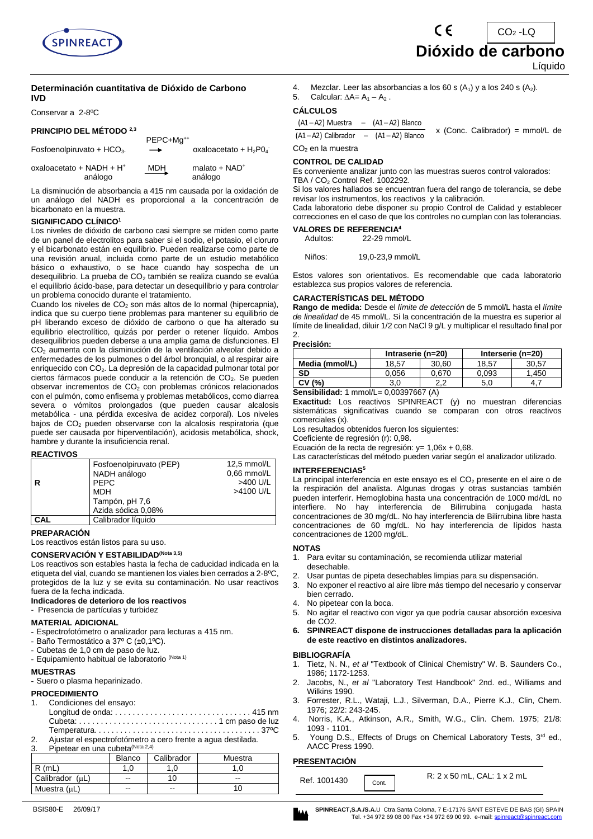

#### **Determinación cuantitativa de Dióxido de Carbono IVD**

Conservar a 2-8ºC

#### **PRINCIPIO DEL MÉTODO 2,3**

| Fosfoenolpiruvato + $HCO3$ .           | PEPC+Mq <sup>++</sup><br>$\rightarrow$ | oxaloacetato + $H_2PQ_4$    |
|----------------------------------------|----------------------------------------|-----------------------------|
| oxaloacetato + NADH + $H^*$<br>análogo | MDH                                    | malato + $NAD^+$<br>análogo |

La disminución de absorbancia a 415 nm causada por la oxidación de un análogo del NADH es proporcional a la concentración de bicarbonato en la muestra.

#### **SIGNIFICADO CLÍNICO<sup>1</sup>**

Los niveles de dióxido de carbono casi siempre se miden como parte de un panel de electrolitos para saber si el sodio, el potasio, el cloruro y el bicarbonato están en equilibrio. Pueden realizarse como parte de una revisión anual, incluida como parte de un estudio metabólico básico o exhaustivo, o se hace cuando hay sospecha de un desequilibrio. La prueba de CO<sub>2</sub> también se realiza cuando se evalúa el equilibrio ácido-base, para detectar un desequilibrio y para controlar un problema conocido durante el tratamiento.

Cuando los niveles de CO<sub>2</sub> son más altos de lo normal (hipercapnia), indica que su cuerpo tiene problemas para mantener su equilibrio de pH liberando exceso de dióxido de carbono o que ha alterado su equilibrio electrolítico, quizás por perder o retener líquido. Ambos desequilibrios pueden deberse a una amplia gama de disfunciones. El CO<sup>2</sup> aumenta con la disminución de la ventilación alveolar debido a enfermedades de los pulmones o del árbol bronquial, o al respirar aire enriquecido con CO<sub>2</sub>. La depresión de la capacidad pulmonar total por ciertos fármacos puede conducir a la retención de CO<sub>2</sub>. Se pueden observar incrementos de  $CO<sub>2</sub>$  con problemas crónicos relacionados con el pulmón, como enfisema y problemas metabólicos, como diarrea severa o vómitos prolongados (que pueden causar alcalosis metabólica - una pérdida excesiva de acidez corporal). Los niveles bajos de CO<sub>2</sub> pueden observarse con la alcalosis respiratoria (que puede ser causada por hiperventilación), acidosis metabólica, shock, hambre y durante la insuficiencia renal.

#### **REACTIVOS**

|     | Fosfoenolpiruvato (PEP) | 12,5 mmol/L   |
|-----|-------------------------|---------------|
|     | NADH análogo            | $0.66$ mmol/L |
|     | <b>PEPC</b>             | >400 U/L      |
|     | <b>MDH</b>              | >4100 U/L     |
|     | Tampón, pH 7,6          |               |
|     | Azida sódica 0,08%      |               |
| CAL | Calibrador líquido      |               |

**PREPARACIÓN** 

Los reactivos están listos para su uso.

#### **CONSERVACIÓN Y ESTABILIDAD(Nota 3,5)**

Los reactivos son estables hasta la fecha de caducidad indicada en la etiqueta del vial, cuando se mantienen los viales bien cerrados a 2-8ºC, protegidos de la luz y se evita su contaminación. No usar reactivos fuera de la fecha indicada.

#### **Indicadores de deterioro de los reactivos**

- Presencia de partículas y turbidez

#### **MATERIAL ADICIONAL**

- Espectrofotómetro o analizador para lecturas a 415 nm.
- Baño Termostático a 37º C (±0,1ºC).
- Cubetas de 1,0 cm de paso de luz.
- Equipamiento habitual de laboratorio (Nota 1)

#### **MUESTRAS**

- Suero o plasma heparinizado.

#### **PROCEDIMIENTO**

- Condiciones del ensayo:
- Longitud de onda: . . . . . . . . . . . . . . . . . . . . . . . . . . . . . . . 415 nm Cubeta: . . . . . . . . . . . . . . . . . . . . . . . . . . . . . . . . 1 cm paso de luz Temperatura. . . . . . . . . . . . . . . . . . . . . . . . . . . . . . . . . . . . . . . 37ºC
- 2. Ajustar el espectrofotómetro a cero frente a agua destilada.

# 3. Pipetear en una cubeta<sup>(Nota 2,4)</sup>

|                 | <b>Blanco</b>            | Calibrador | Muestra |
|-----------------|--------------------------|------------|---------|
| ` (mL.          |                          |            |         |
| Calibrador (µL) | $\overline{\phantom{a}}$ |            | $- -$   |
| Muestra (µL)    | $-$                      | --         | 10      |



5. Calcular:  $\Delta A = A_1 - A_2$ .

#### **CÁLCULOS**

 $(A1 - A2)$  Muestra  $- (A1 - A2)$  Blanco

 $(A1 - A2)$  Calibrador  $- (A1 - A2)$  Blanco x (Conc. Calibrador) = mmol/L de  $CO<sub>2</sub>$  en la muestra

#### **CONTROL DE CALIDAD**

Es conveniente analizar junto con las muestras sueros control valorados: TBA / CO<sup>2</sup> Control Ref. 1002292.

Si los valores hallados se encuentran fuera del rango de tolerancia, se debe revisar los instrumentos, los reactivos y la calibración.

Cada laboratorio debe disponer su propio Control de Calidad y establecer correcciones en el caso de que los controles no cumplan con las tolerancias.

**VALORES DE REFERENCIA<sup>4</sup>**<br>Adultos: 22-29 mmo 22-29 mmol/L

Niños: 19,0-23,9 mmol/L

Estos valores son orientativos. Es recomendable que cada laboratorio establezca sus propios valores de referencia.

#### **CARACTERÍSTICAS DEL MÉTODO**

**Rango de medida:** Desde el *límite de detección* de 5 mmol/L hasta el *límite de linealidad* de 45 mmol/L. Si la concentración de la muestra es superior al límite de linealidad, diluir 1/2 con NaCl 9 g/L y multiplicar el resultado final por 2.

#### **Precisión:**

|                | Intraserie (n=20) |            |       | Interserie (n=20) |
|----------------|-------------------|------------|-------|-------------------|
| Media (mmol/L) | 18.57             | 30.60      | 18.57 | 30.57             |
| SD             | 0.056             | 0.670      | 0.093 | .450              |
| (% )<br>СV     | 3.0               | ◠<br>- - - | 5.0   |                   |

**Sensibilidad:** 1 mmol/L= 0,00397667 (A)

**Exactitud:** Los reactivos SPINREACT (y) no muestran diferencias sistemáticas significativas cuando se comparan con otros reactivos comerciales (x).

Los resultados obtenidos fueron los siguientes:

Coeficiente de regresión (r): 0,98.

Ecuación de la recta de regresión:  $y = 1,06x + 0,68$ .

Las características del método pueden variar según el analizador utilizado.

#### **INTERFERENCIAS<sup>5</sup>**

La principal interferencia en este ensayo es el CO<sub>2</sub> presente en el aire o de la respiración del analista. Algunas drogas y otras sustancias también pueden interferir. Hemoglobina hasta una concentración de 1000 md/dL no interfiere. No hay interferencia de Bilirrubina conjugada hasta concentraciones de 30 mg/dL. No hay interferencia de Bilirrubina libre hasta concentraciones de 60 mg/dL. No hay interferencia de lípidos hasta concentraciones de 1200 mg/dL.

#### **NOTAS**

- 1. Para evitar su contaminación, se recomienda utilizar material desechable.
- Usar puntas de pipeta desechables limpias para su dispensación.
- 3. No exponer el reactivo al aire libre más tiempo del necesario y conservar bien cerrado.
- 4. No pipetear con la boca.
- 5. No agitar el reactivo con vigor ya que podría causar absorción excesiva de CO2.
- **6. SPINREACT dispone de instrucciones detalladas para la aplicación de este reactivo en distintos analizadores.**

#### **BIBLIOGRAFÍA**

- 1. Tietz, N. N., *et al* "Textbook of Clinical Chemistry" W. B. Saunders Co., 1986; 1172-1253.
- 2. Jacobs, N., *et al* "Laboratory Test Handbook" 2nd. ed., Williams and Wilkins 1990.
- 3. Forrester, R.L., Wataji, L.J., Silverman, D.A., Pierre K.J., Clin, Chem. 1976; 22/2: 243-245.
- 4. Norris, K.A., Atkinson, A.R., Smith, W.G., Clin. Chem. 1975; 21/8: 1093 - 1101.
- 5. Young D.S., Effects of Drugs on Chemical Laboratory Tests, 3<sup>rd</sup> ed., AACC Press 1990.

#### **PRESENTACIÓN**

| Ref. 1001430<br>Cont. |
|-----------------------|
|-----------------------|



Líquido